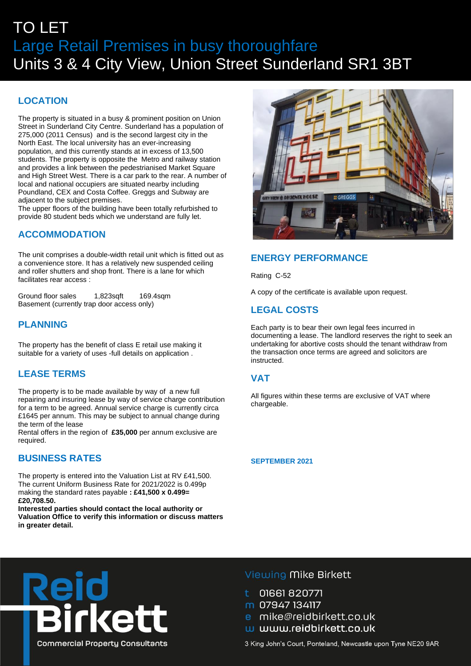# TO LET Large Retail Premises in busy thoroughfare Units 3 & 4 City View, Union Street Sunderland SR1 3BT

## **LOCATION**

The property is situated in a busy & prominent position on Union Street in Sunderland City Centre. Sunderland has a population of 275,000 (2011 Census) and is the second largest city in the North East. The local university has an ever-increasing population, and this currently stands at in excess of 13,500 students. The property is opposite the Metro and railway station and provides a link between the pedestrianised Market Square and High Street West. There is a car park to the rear. A number of local and national occupiers are situated nearby including Poundland, CEX and Costa Coffee. Greggs and Subway are adjacent to the subject premises.

The upper floors of the building have been totally refurbished to provide 80 student beds which we understand are fully let.

# **ACCOMMODATION**

The unit comprises a double-width retail unit which is fitted out as a convenience store. It has a relatively new suspended ceiling and roller shutters and shop front. There is a lane for which facilitates rear access :

Ground floor sales 1,823sqft 169.4sqm Basement (currently trap door access only)

## **PLANNING**

The property has the benefit of class E retail use making it suitable for a variety of uses -full details on application .

### **LEASE TERMS**

The property is to be made available by way of a new full repairing and insuring lease by way of service charge contribution for a term to be agreed. Annual service charge is currently circa £1645 per annum. This may be subject to annual change during the term of the lease

Rental offers in the region of **£35,000** per annum exclusive are required.

### **BUSINESS RATES**

The property is entered into the Valuation List at RV £41,500. The current Uniform Business Rate for 2021/2022 is 0.499p making the standard rates payable **: £41,500 x 0.499= £20,708.50.** 

**Interested parties should contact the local authority or Valuation Office to verify this information or discuss matters in greater detail.**



# **ENERGY PERFORMANCE**

Rating C-52

A copy of the certificate is available upon request.

## **LEGAL COSTS**

Each party is to bear their own legal fees incurred in documenting a lease. The landlord reserves the right to seek an undertaking for abortive costs should the tenant withdraw from the transaction once terms are agreed and solicitors are instructed.

### **VAT**

All figures within these terms are exclusive of VAT where chargeable.

**SEPTEMBER 2021**



Viewing Mike Birkett

- 01661820771
- m 07947 134117
- e mike@reidbirkett.co.uk
- w www.reidbirkett.co.uk

3 King John's Court, Ponteland, Newcastle upon Tyne NE20 9AR